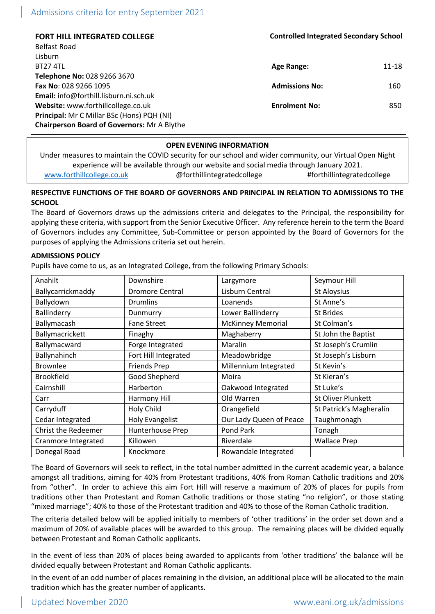| <b>FORT HILL INTEGRATED COLLEGE</b>                | <b>Controlled Integrated Secondary School</b> |       |
|----------------------------------------------------|-----------------------------------------------|-------|
| Belfast Road                                       |                                               |       |
| Lisburn                                            |                                               |       |
| <b>BT27 4TL</b>                                    | Age Range:                                    | 11-18 |
| Telephone No: 028 9266 3670                        |                                               |       |
| <b>Fax No: 028 9266 1095</b>                       | <b>Admissions No:</b>                         | 160   |
| Email: info@forthill.lisburn.ni.sch.uk             |                                               |       |
| Website: www.forthillcollege.co.uk                 | <b>Enrolment No:</b>                          | 850   |
| Principal: Mr C Millar BSc (Hons) PQH (NI)         |                                               |       |
| <b>Chairperson Board of Governors: Mr A Blythe</b> |                                               |       |

## **OPEN EVENING INFORMATION**

Under measures to maintain the COVID security for our school and wider community, our Virtual Open Night experience will be available through our website and social media through January 2021. [www.forthillcollege.co.uk](http://www.forthillcollege.co.uk/) @forthillintegratedcollege #forthillintegratedcollege

# **RESPECTIVE FUNCTIONS OF THE BOARD OF GOVERNORS AND PRINCIPAL IN RELATION TO ADMISSIONS TO THE SCHOOL**

The Board of Governors draws up the admissions criteria and delegates to the Principal, the responsibility for applying these criteria, with support from the Senior Executive Officer. Any reference herein to the term the Board of Governors includes any Committee, Sub-Committee or person appointed by the Board of Governors for the purposes of applying the Admissions criteria set out herein.

## **ADMISSIONS POLICY**

Pupils have come to us, as an Integrated College, from the following Primary Schools:

| Anahilt                    | Downshire              | Largymore                | Seymour Hill            |
|----------------------------|------------------------|--------------------------|-------------------------|
| Ballycarrickmaddy          | <b>Dromore Central</b> | Lisburn Central          | St Aloysius             |
| Ballydown                  | <b>Drumlins</b>        | Loanends                 | St Anne's               |
| Ballinderry                | Dunmurry               | Lower Ballinderry        | St Brides               |
| Ballymacash                | <b>Fane Street</b>     | <b>McKinney Memorial</b> | St Colman's             |
| Ballymacrickett            | Finaghy                | Maghaberry               | St John the Baptist     |
| Ballymacward               | Forge Integrated       | Maralin                  | St Joseph's Crumlin     |
| Ballynahinch               | Fort Hill Integrated   | Meadowbridge             | St Joseph's Lisburn     |
| <b>Brownlee</b>            | <b>Friends Prep</b>    | Millennium Integrated    | St Kevin's              |
| <b>Brookfield</b>          | Good Shepherd          | Moira                    | St Kieran's             |
| Cairnshill                 | Harberton              | Oakwood Integrated       | St Luke's               |
| Carr                       | Harmony Hill           | Old Warren               | St Oliver Plunkett      |
| Carryduff                  | Holy Child             | Orangefield              | St Patrick's Magheralin |
| Cedar Integrated           | <b>Holy Evangelist</b> | Our Lady Queen of Peace  | Taughmonagh             |
| <b>Christ the Redeemer</b> | Hunterhouse Prep       | Pond Park                | Tonagh                  |
| Cranmore Integrated        | Killowen               | Riverdale                | <b>Wallace Prep</b>     |
| Donegal Road               | Knockmore              | Rowandale Integrated     |                         |

The Board of Governors will seek to reflect, in the total number admitted in the current academic year, a balance amongst all traditions, aiming for 40% from Protestant traditions, 40% from Roman Catholic traditions and 20% from "other". In order to achieve this aim Fort Hill will reserve a maximum of 20% of places for pupils from traditions other than Protestant and Roman Catholic traditions or those stating "no religion", or those stating "mixed marriage"; 40% to those of the Protestant tradition and 40% to those of the Roman Catholic tradition.

The criteria detailed below will be applied initially to members of 'other traditions' in the order set down and a maximum of 20% of available places will be awarded to this group. The remaining places will be divided equally between Protestant and Roman Catholic applicants.

In the event of less than 20% of places being awarded to applicants from 'other traditions' the balance will be divided equally between Protestant and Roman Catholic applicants.

In the event of an odd number of places remaining in the division, an additional place will be allocated to the main tradition which has the greater number of applicants.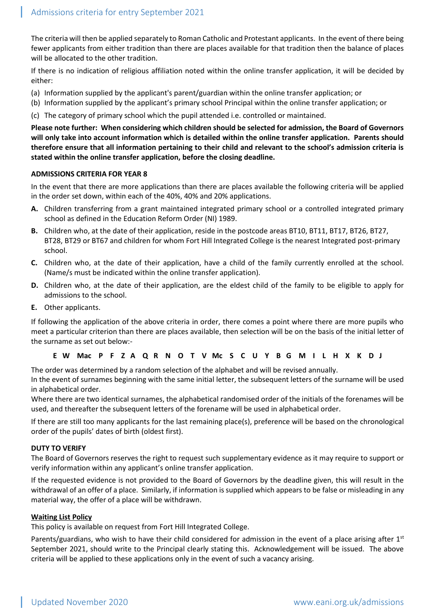The criteria will then be applied separately to Roman Catholic and Protestant applicants. In the event of there being fewer applicants from either tradition than there are places available for that tradition then the balance of places will be allocated to the other tradition.

If there is no indication of religious affiliation noted within the online transfer application, it will be decided by either:

- (a) Information supplied by the applicant's parent/guardian within the online transfer application; or
- (b) Information supplied by the applicant's primary school Principal within the online transfer application; or
- (c) The category of primary school which the pupil attended i.e. controlled or maintained.

**Please note further: When considering which children should be selected for admission, the Board of Governors will only take into account information which is detailed within the online transfer application. Parents should therefore ensure that all information pertaining to their child and relevant to the school's admission criteria is stated within the online transfer application, before the closing deadline.** 

### **ADMISSIONS CRITERIA FOR YEAR 8**

In the event that there are more applications than there are places available the following criteria will be applied in the order set down, within each of the 40%, 40% and 20% applications.

- **A.** Children transferring from a grant maintained integrated primary school or a controlled integrated primary school as defined in the Education Reform Order (NI) 1989.
- **B.** Children who, at the date of their application, reside in the postcode areas BT10, BT11, BT17, BT26, BT27, BT28, BT29 or BT67 and children for whom Fort Hill Integrated College is the nearest Integrated post-primary school.
- **C.** Children who, at the date of their application, have a child of the family currently enrolled at the school. (Name/s must be indicated within the online transfer application).
- **D.** Children who, at the date of their application, are the eldest child of the family to be eligible to apply for admissions to the school.
- **E.** Other applicants.

If following the application of the above criteria in order, there comes a point where there are more pupils who meet a particular criterion than there are places available, then selection will be on the basis of the initial letter of the surname as set out below:-

### **E W Mac P F Z A Q R N O T V Mc S C U Y B G M I L H X K D J**

The order was determined by a random selection of the alphabet and will be revised annually.

In the event of surnames beginning with the same initial letter, the subsequent letters of the surname will be used in alphabetical order.

Where there are two identical surnames, the alphabetical randomised order of the initials of the forenames will be used, and thereafter the subsequent letters of the forename will be used in alphabetical order.

If there are still too many applicants for the last remaining place(s), preference will be based on the chronological order of the pupils' dates of birth (oldest first).

### **DUTY TO VERIFY**

The Board of Governors reserves the right to request such supplementary evidence as it may require to support or verify information within any applicant's online transfer application.

If the requested evidence is not provided to the Board of Governors by the deadline given, this will result in the withdrawal of an offer of a place. Similarly, if information is supplied which appears to be false or misleading in any material way, the offer of a place will be withdrawn.

### **Waiting List Policy**

This policy is available on request from Fort Hill Integrated College.

Parents/guardians, who wish to have their child considered for admission in the event of a place arising after  $1<sup>st</sup>$ September 2021, should write to the Principal clearly stating this. Acknowledgement will be issued. The above criteria will be applied to these applications only in the event of such a vacancy arising.